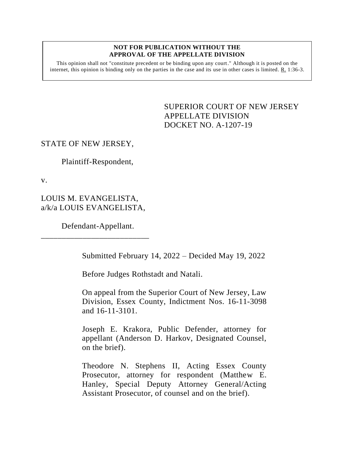#### **NOT FOR PUBLICATION WITHOUT THE APPROVAL OF THE APPELLATE DIVISION**

This opinion shall not "constitute precedent or be binding upon any court." Although it is posted on the internet, this opinion is binding only on the parties in the case and its use in other cases is limited. R. 1:36-3.

> <span id="page-0-0"></span>SUPERIOR COURT OF NEW JERSEY APPELLATE DIVISION DOCKET NO. A-1207-19

# STATE OF NEW JERSEY,

Plaintiff-Respondent,

v.

LOUIS M. EVANGELISTA, a/k/a LOUIS EVANGELISTA,

Defendant-Appellant.

\_\_\_\_\_\_\_\_\_\_\_\_\_\_\_\_\_\_\_\_\_\_\_\_\_\_

Submitted February 14, 2022 – Decided May 19, 2022

Before Judges Rothstadt and Natali.

On appeal from the Superior Court of New Jersey, Law Division, Essex County, Indictment Nos. 16-11-3098 and 16-11-3101.

Joseph E. Krakora, Public Defender, attorney for appellant (Anderson D. Harkov, Designated Counsel, on the brief).

Theodore N. Stephens II, Acting Essex County Prosecutor, attorney for respondent (Matthew E. Hanley, Special Deputy Attorney General/Acting Assistant Prosecutor, of counsel and on the brief).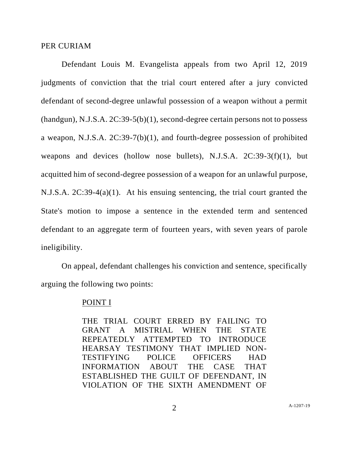### PER CURIAM

Defendant Louis M. Evangelista appeals from two April 12, 2019 judgments of conviction that the trial court entered after a jury convicted defendant of second-degree unlawful possession of a weapon without a permit (handgun), N.J.S.A. 2C:39-5(b)(1), second-degree certain persons not to possess a weapon, N.J.S.A. 2C:39-7(b)(1), and fourth-degree possession of prohibited weapons and devices (hollow nose bullets), N.J.S.A. 2C:39-3(f)(1), but acquitted him of second-degree possession of a weapon for an unlawful purpose, N.J.S.A. 2C:39-4(a)(1). At his ensuing sentencing, the trial court granted the State's motion to impose a sentence in the extended term and sentenced defendant to an aggregate term of fourteen years, with seven years of parole ineligibility.

On appeal, defendant challenges his conviction and sentence, specifically arguing the following two points:

### POINT I

THE TRIAL COURT ERRED BY FAILING TO GRANT A MISTRIAL WHEN THE STATE REPEATEDLY ATTEMPTED TO INTRODUCE HEARSAY TESTIMONY THAT IMPLIED NON-TESTIFYING POLICE OFFICERS HAD INFORMATION ABOUT THE CASE THAT ESTABLISHED THE GUILT OF DEFENDANT, IN VIOLATION OF THE SIXTH AMENDMENT OF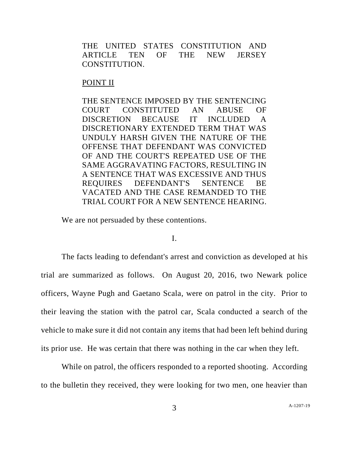THE UNITED STATES CONSTITUTION AND ARTICLE TEN OF THE NEW JERSEY CONSTITUTION.

## POINT II

THE SENTENCE IMPOSED BY THE SENTENCING COURT CONSTITUTED AN ABUSE OF DISCRETION BECAUSE IT INCLUDED A DISCRETIONARY EXTENDED TERM THAT WAS UNDULY HARSH GIVEN THE NATURE OF THE OFFENSE THAT DEFENDANT WAS CONVICTED OF AND THE COURT'S REPEATED USE OF THE SAME AGGRAVATING FACTORS, RESULTING IN A SENTENCE THAT WAS EXCESSIVE AND THUS REQUIRES DEFENDANT'S SENTENCE BE VACATED AND THE CASE REMANDED TO THE TRIAL COURT FOR A NEW SENTENCE HEARING.

We are not persuaded by these contentions.

## I.

The facts leading to defendant's arrest and conviction as developed at his trial are summarized as follows. On August 20, 2016, two Newark police officers, Wayne Pugh and Gaetano Scala, were on patrol in the city. Prior to their leaving the station with the patrol car, Scala conducted a search of the vehicle to make sure it did not contain any items that had been left behind during its prior use. He was certain that there was nothing in the car when they left.

While on patrol, the officers responded to a reported shooting. According to the bulletin they received, they were looking for two men, one heavier than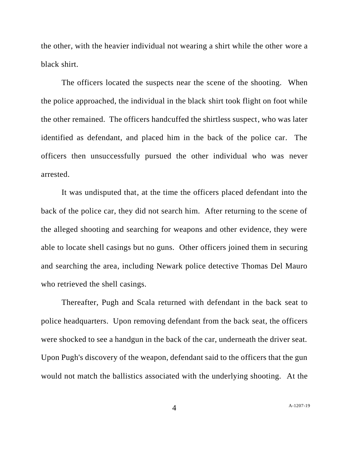the other, with the heavier individual not wearing a shirt while the other wore a black shirt.

The officers located the suspects near the scene of the shooting. When the police approached, the individual in the black shirt took flight on foot while the other remained. The officers handcuffed the shirtless suspect, who was later identified as defendant, and placed him in the back of the police car. The officers then unsuccessfully pursued the other individual who was never arrested.

It was undisputed that, at the time the officers placed defendant into the back of the police car, they did not search him. After returning to the scene of the alleged shooting and searching for weapons and other evidence, they were able to locate shell casings but no guns. Other officers joined them in securing and searching the area, including Newark police detective Thomas Del Mauro who retrieved the shell casings.

Thereafter, Pugh and Scala returned with defendant in the back seat to police headquarters. Upon removing defendant from the back seat, the officers were shocked to see a handgun in the back of the car, underneath the driver seat. Upon Pugh's discovery of the weapon, defendant said to the officers that the gun would not match the ballistics associated with the underlying shooting. At the

A[-1207-19](#page-0-0)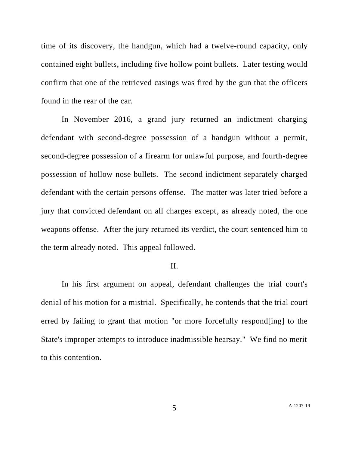time of its discovery, the handgun, which had a twelve-round capacity, only contained eight bullets, including five hollow point bullets. Later testing would confirm that one of the retrieved casings was fired by the gun that the officers found in the rear of the car.

In November 2016, a grand jury returned an indictment charging defendant with second-degree possession of a handgun without a permit, second-degree possession of a firearm for unlawful purpose, and fourth-degree possession of hollow nose bullets. The second indictment separately charged defendant with the certain persons offense. The matter was later tried before a jury that convicted defendant on all charges except, as already noted, the one weapons offense. After the jury returned its verdict, the court sentenced him to the term already noted. This appeal followed.

## II.

In his first argument on appeal, defendant challenges the trial court's denial of his motion for a mistrial. Specifically, he contends that the trial court erred by failing to grant that motion "or more forcefully respond[ing] to the State's improper attempts to introduce inadmissible hearsay." We find no merit to this contention.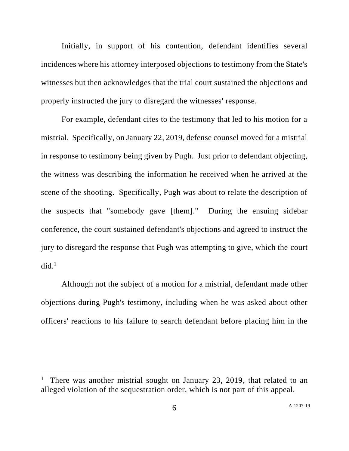Initially, in support of his contention, defendant identifies several incidences where his attorney interposed objections to testimony from the State's witnesses but then acknowledges that the trial court sustained the objections and properly instructed the jury to disregard the witnesses' response.

For example, defendant cites to the testimony that led to his motion for a mistrial. Specifically, on January 22, 2019, defense counsel moved for a mistrial in response to testimony being given by Pugh. Just prior to defendant objecting, the witness was describing the information he received when he arrived at the scene of the shooting. Specifically, Pugh was about to relate the description of the suspects that "somebody gave [them]." During the ensuing sidebar conference, the court sustained defendant's objections and agreed to instruct the jury to disregard the response that Pugh was attempting to give, which the court  $did.<sup>1</sup>$ 

Although not the subject of a motion for a mistrial, defendant made other objections during Pugh's testimony, including when he was asked about other officers' reactions to his failure to search defendant before placing him in the

<sup>&</sup>lt;sup>1</sup> There was another mistrial sought on January 23, 2019, that related to an alleged violation of the sequestration order, which is not part of this appeal.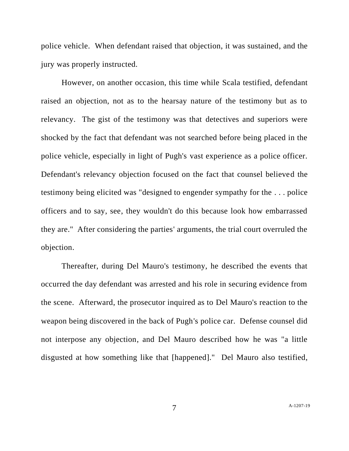police vehicle. When defendant raised that objection, it was sustained, and the jury was properly instructed.

However, on another occasion, this time while Scala testified, defendant raised an objection, not as to the hearsay nature of the testimony but as to relevancy. The gist of the testimony was that detectives and superiors were shocked by the fact that defendant was not searched before being placed in the police vehicle, especially in light of Pugh's vast experience as a police officer. Defendant's relevancy objection focused on the fact that counsel believed the testimony being elicited was "designed to engender sympathy for the . . . police officers and to say, see, they wouldn't do this because look how embarrassed they are." After considering the parties' arguments, the trial court overruled the objection.

Thereafter, during Del Mauro's testimony, he described the events that occurred the day defendant was arrested and his role in securing evidence from the scene. Afterward, the prosecutor inquired as to Del Mauro's reaction to the weapon being discovered in the back of Pugh's police car. Defense counsel did not interpose any objection, and Del Mauro described how he was "a little disgusted at how something like that [happened]." Del Mauro also testified,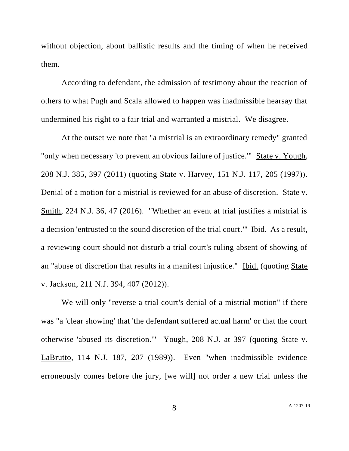without objection, about ballistic results and the timing of when he received them.

According to defendant, the admission of testimony about the reaction of others to what Pugh and Scala allowed to happen was inadmissible hearsay that undermined his right to a fair trial and warranted a mistrial. We disagree.

At the outset we note that "a mistrial is an extraordinary remedy" granted "only when necessary 'to prevent an obvious failure of justice.'" State v. Yough, 208 N.J. 385, 397 (2011) (quoting State v. Harvey, 151 N.J. 117, 205 (1997)). Denial of a motion for a mistrial is reviewed for an abuse of discretion. State v. Smith, 224 N.J. 36, 47 (2016). "Whether an event at trial justifies a mistrial is a decision 'entrusted to the sound discretion of the trial court.'" Ibid. As a result, a reviewing court should not disturb a trial court's ruling absent of showing of an "abuse of discretion that results in a manifest injustice." Ibid. (quoting State v. Jackson, 211 N.J. 394, 407 (2012)).

We will only "reverse a trial court's denial of a mistrial motion" if there was "a 'clear showing' that 'the defendant suffered actual harm' or that the court otherwise 'abused its discretion.'" Yough, 208 N.J. at 397 (quoting State v. LaBrutto, 114 N.J. 187, 207 (1989)). Even "when inadmissible evidence erroneously comes before the jury, [we will] not order a new trial unless the

8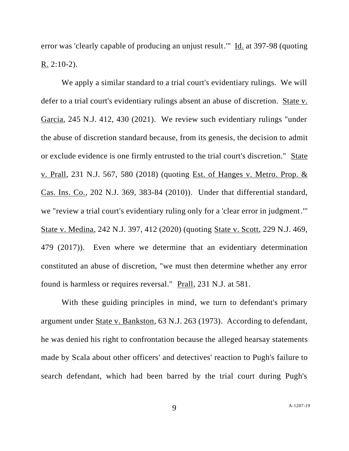error was 'clearly capable of producing an unjust result.'" Id. at 397-98 (quoting R. 2:10-2).

We apply a similar standard to a trial court's evidentiary rulings. We will defer to a trial court's evidentiary rulings absent an abuse of discretion. State v. Garcia, 245 N.J. 412, 430 (2021). We review such evidentiary rulings "under the abuse of discretion standard because, from its genesis, the decision to admit or exclude evidence is one firmly entrusted to the trial court's discretion." State v. Prall, 231 N.J. 567, 580 (2018) (quoting Est. of Hanges v. Metro. Prop. & Cas. Ins. Co., 202 N.J. 369, 383-84 (2010)). Under that differential standard, we "review a trial court's evidentiary ruling only for a 'clear error in judgment.'" State v. Medina, 242 N.J. 397, 412 (2020) (quoting State v. Scott, 229 N.J. 469, 479 (2017)). Even where we determine that an evidentiary determination constituted an abuse of discretion, "we must then determine whether any error found is harmless or requires reversal." Prall, 231 N.J. at 581.

With these guiding principles in mind, we turn to defendant's primary argument under State v. Bankston, 63 N.J. 263 (1973). According to defendant, he was denied his right to confrontation because the alleged hearsay statements made by Scala about other officers' and detectives' reaction to Pugh's failure to search defendant, which had been barred by the trial court during Pugh's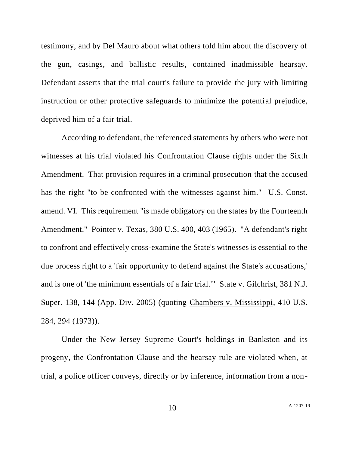testimony, and by Del Mauro about what others told him about the discovery of the gun, casings, and ballistic results, contained inadmissible hearsay. Defendant asserts that the trial court's failure to provide the jury with limiting instruction or other protective safeguards to minimize the potential prejudice, deprived him of a fair trial.

According to defendant, the referenced statements by others who were not witnesses at his trial violated his Confrontation Clause rights under the Sixth Amendment. That provision requires in a criminal prosecution that the accused has the right "to be confronted with the witnesses against him." U.S. Const. amend. VI. This requirement "is made obligatory on the states by the Fourteenth Amendment." Pointer v. Texas, 380 U.S. 400, 403 (1965). "A defendant's right to confront and effectively cross-examine the State's witnesses is essential to the due process right to a 'fair opportunity to defend against the State's accusations,' and is one of 'the minimum essentials of a fair trial.'" State v. Gilchrist, 381 N.J. Super. 138, 144 (App. Div. 2005) (quoting Chambers v. Mississippi, 410 U.S. 284, 294 (1973)).

Under the New Jersey Supreme Court's holdings in Bankston and its progeny, the Confrontation Clause and the hearsay rule are violated when, at trial, a police officer conveys, directly or by inference, information from a non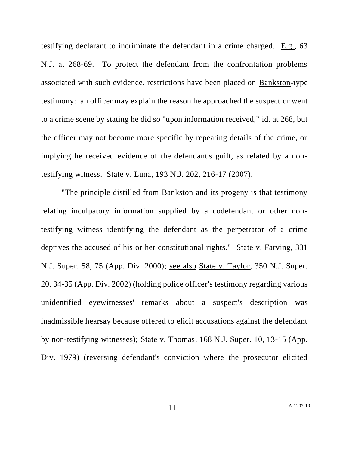testifying declarant to incriminate the defendant in a crime charged. E.g., 63 N.J. at 268-69. To protect the defendant from the confrontation problems associated with such evidence, restrictions have been placed on Bankston-type testimony: an officer may explain the reason he approached the suspect or went to a crime scene by stating he did so "upon information received," id. at 268, but the officer may not become more specific by repeating details of the crime, or implying he received evidence of the defendant's guilt, as related by a nontestifying witness. State v. Luna, 193 N.J. 202, 216-17 (2007).

"The principle distilled from Bankston and its progeny is that testimony relating inculpatory information supplied by a codefendant or other nontestifying witness identifying the defendant as the perpetrator of a crime deprives the accused of his or her constitutional rights." State v. Farving, 331 N.J. Super. 58, 75 (App. Div. 2000); see also State v. Taylor, 350 N.J. Super. 20, 34-35 (App. Div. 2002) (holding police officer's testimony regarding various unidentified eyewitnesses' remarks about a suspect's description was inadmissible hearsay because offered to elicit accusations against the defendant by non-testifying witnesses); State v. Thomas, 168 N.J. Super. 10, 13-15 (App. Div. 1979) (reversing defendant's conviction where the prosecutor elicited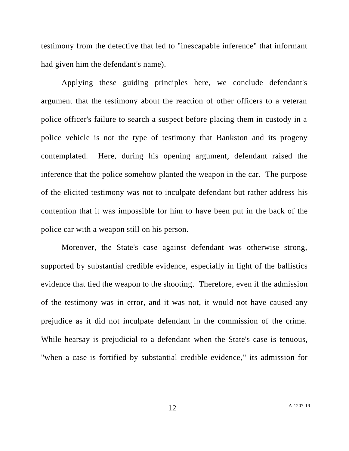testimony from the detective that led to "inescapable inference" that informant had given him the defendant's name).

Applying these guiding principles here, we conclude defendant's argument that the testimony about the reaction of other officers to a veteran police officer's failure to search a suspect before placing them in custody in a police vehicle is not the type of testimony that Bankston and its progeny contemplated. Here, during his opening argument, defendant raised the inference that the police somehow planted the weapon in the car. The purpose of the elicited testimony was not to inculpate defendant but rather address his contention that it was impossible for him to have been put in the back of the police car with a weapon still on his person.

Moreover, the State's case against defendant was otherwise strong, supported by substantial credible evidence, especially in light of the ballistics evidence that tied the weapon to the shooting. Therefore, even if the admission of the testimony was in error, and it was not, it would not have caused any prejudice as it did not inculpate defendant in the commission of the crime. While hearsay is prejudicial to a defendant when the State's case is tenuous, "when a case is fortified by substantial credible evidence," its admission for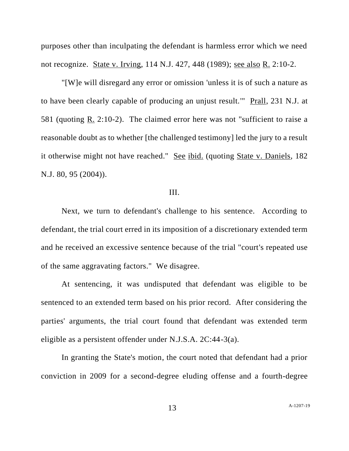purposes other than inculpating the defendant is harmless error which we need not recognize. State v. Irving, 114 N.J. 427, 448 (1989); see also R. 2:10-2.

"[W]e will disregard any error or omission 'unless it is of such a nature as to have been clearly capable of producing an unjust result.'" Prall, 231 N.J. at 581 (quoting R. 2:10-2). The claimed error here was not "sufficient to raise a reasonable doubt as to whether [the challenged testimony] led the jury to a result it otherwise might not have reached." See ibid. (quoting State v. Daniels, 182 N.J. 80, 95 (2004)).

# III.

Next, we turn to defendant's challenge to his sentence. According to defendant, the trial court erred in its imposition of a discretionary extended term and he received an excessive sentence because of the trial "court's repeated use of the same aggravating factors." We disagree.

At sentencing, it was undisputed that defendant was eligible to be sentenced to an extended term based on his prior record. After considering the parties' arguments, the trial court found that defendant was extended term eligible as a persistent offender under N.J.S.A. 2C:44-3(a).

In granting the State's motion, the court noted that defendant had a prior conviction in 2009 for a second-degree eluding offense and a fourth-degree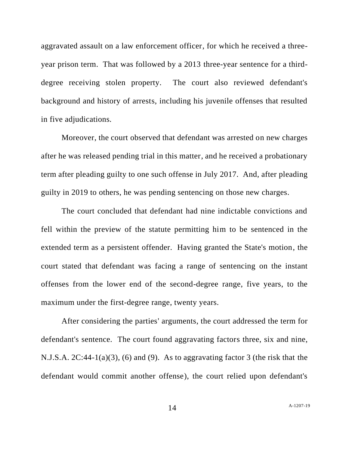aggravated assault on a law enforcement officer, for which he received a threeyear prison term. That was followed by a 2013 three-year sentence for a thirddegree receiving stolen property. The court also reviewed defendant's background and history of arrests, including his juvenile offenses that resulted in five adjudications.

Moreover, the court observed that defendant was arrested on new charges after he was released pending trial in this matter, and he received a probationary term after pleading guilty to one such offense in July 2017. And, after pleading guilty in 2019 to others, he was pending sentencing on those new charges.

The court concluded that defendant had nine indictable convictions and fell within the preview of the statute permitting him to be sentenced in the extended term as a persistent offender. Having granted the State's motion, the court stated that defendant was facing a range of sentencing on the instant offenses from the lower end of the second-degree range, five years, to the maximum under the first-degree range, twenty years.

After considering the parties' arguments, the court addressed the term for defendant's sentence. The court found aggravating factors three, six and nine, N.J.S.A. 2C:44-1(a)(3), (6) and (9). As to aggravating factor 3 (the risk that the defendant would commit another offense), the court relied upon defendant's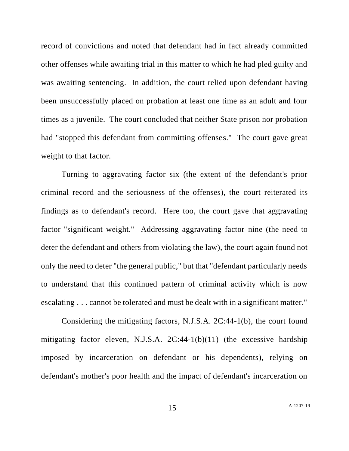record of convictions and noted that defendant had in fact already committed other offenses while awaiting trial in this matter to which he had pled guilty and was awaiting sentencing. In addition, the court relied upon defendant having been unsuccessfully placed on probation at least one time as an adult and four times as a juvenile. The court concluded that neither State prison nor probation had "stopped this defendant from committing offenses." The court gave great weight to that factor.

Turning to aggravating factor six (the extent of the defendant's prior criminal record and the seriousness of the offenses), the court reiterated its findings as to defendant's record. Here too, the court gave that aggravating factor "significant weight." Addressing aggravating factor nine (the need to deter the defendant and others from violating the law), the court again found not only the need to deter "the general public," but that "defendant particularly needs to understand that this continued pattern of criminal activity which is now escalating . . . cannot be tolerated and must be dealt with in a significant matter."

Considering the mitigating factors, N.J.S.A. 2C:44-1(b), the court found mitigating factor eleven, N.J.S.A. 2C:44-1(b)(11) (the excessive hardship imposed by incarceration on defendant or his dependents), relying on defendant's mother's poor health and the impact of defendant's incarceration on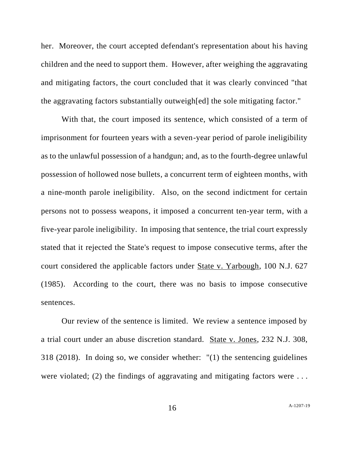her. Moreover, the court accepted defendant's representation about his having children and the need to support them. However, after weighing the aggravating and mitigating factors, the court concluded that it was clearly convinced "that the aggravating factors substantially outweigh[ed] the sole mitigating factor."

With that, the court imposed its sentence, which consisted of a term of imprisonment for fourteen years with a seven-year period of parole ineligibility as to the unlawful possession of a handgun; and, as to the fourth-degree unlawful possession of hollowed nose bullets, a concurrent term of eighteen months, with a nine-month parole ineligibility. Also, on the second indictment for certain persons not to possess weapons, it imposed a concurrent ten-year term, with a five-year parole ineligibility. In imposing that sentence, the trial court expressly stated that it rejected the State's request to impose consecutive terms, after the court considered the applicable factors under State v. Yarbough, 100 N.J. 627 (1985). According to the court, there was no basis to impose consecutive sentences.

Our review of the sentence is limited. We review a sentence imposed by a trial court under an abuse discretion standard. State v. Jones, 232 N.J. 308, 318 (2018). In doing so, we consider whether: "(1) the sentencing guidelines were violated; (2) the findings of aggravating and mitigating factors were ...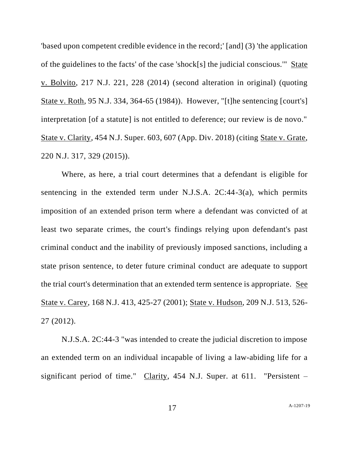'based upon competent credible evidence in the record;' [and] (3) 'the application of the guidelines to the facts' of the case 'shock[s] the judicial conscious.'" State v. Bolvito, 217 N.J. 221, 228 (2014) (second alteration in original) (quoting State v. Roth, 95 N.J. 334, 364-65 (1984)). However, "[t]he sentencing [court's] interpretation [of a statute] is not entitled to deference; our review is de novo." State v. Clarity, 454 N.J. Super. 603, 607 (App. Div. 2018) (citing State v. Grate, 220 N.J. 317, 329 (2015)).

Where, as here, a trial court determines that a defendant is eligible for sentencing in the extended term under N.J.S.A.  $2C:44-3(a)$ , which permits imposition of an extended prison term where a defendant was convicted of at least two separate crimes, the court's findings relying upon defendant's past criminal conduct and the inability of previously imposed sanctions, including a state prison sentence, to deter future criminal conduct are adequate to support the trial court's determination that an extended term sentence is appropriate. See State v. Carey, 168 N.J. 413, 425-27 (2001); State v. Hudson, 209 N.J. 513, 526- 27 (2012).

N.J.S.A. 2C:44-3 "was intended to create the judicial discretion to impose an extended term on an individual incapable of living a law-abiding life for a significant period of time." Clarity, 454 N.J. Super. at 611. "Persistent –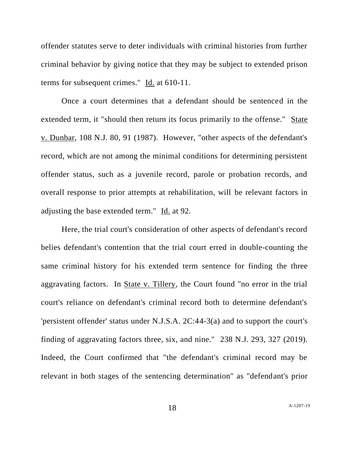offender statutes serve to deter individuals with criminal histories from further criminal behavior by giving notice that they may be subject to extended prison terms for subsequent crimes." Id. at 610-11.

Once a court determines that a defendant should be sentenced in the extended term, it "should then return its focus primarily to the offense." State v. Dunbar, 108 N.J. 80, 91 (1987). However, "other aspects of the defendant's record, which are not among the minimal conditions for determining persistent offender status, such as a juvenile record, parole or probation records, and overall response to prior attempts at rehabilitation, will be relevant factors in adjusting the base extended term." Id. at 92.

Here, the trial court's consideration of other aspects of defendant's record belies defendant's contention that the trial court erred in double-counting the same criminal history for his extended term sentence for finding the three aggravating factors. In State v. Tillery, the Court found "no error in the trial court's reliance on defendant's criminal record both to determine defendant's 'persistent offender' status under N.J.S.A. 2C:44-3(a) and to support the court's finding of aggravating factors three, six, and nine." 238 N.J. 293, 327 (2019). Indeed, the Court confirmed that "the defendant's criminal record may be relevant in both stages of the sentencing determination" as "defendant's prior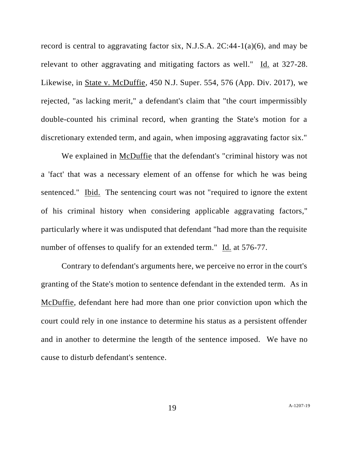record is central to aggravating factor six, N.J.S.A.  $2C:44-1(a)(6)$ , and may be relevant to other aggravating and mitigating factors as well." Id. at 327-28. Likewise, in State v. McDuffie, 450 N.J. Super. 554, 576 (App. Div. 2017), we rejected, "as lacking merit," a defendant's claim that "the court impermissibly double-counted his criminal record, when granting the State's motion for a discretionary extended term, and again, when imposing aggravating factor six."

We explained in McDuffie that the defendant's "criminal history was not a 'fact' that was a necessary element of an offense for which he was being sentenced." Ibid. The sentencing court was not "required to ignore the extent of his criminal history when considering applicable aggravating factors," particularly where it was undisputed that defendant "had more than the requisite number of offenses to qualify for an extended term." Id. at 576-77.

Contrary to defendant's arguments here, we perceive no error in the court's granting of the State's motion to sentence defendant in the extended term. As in McDuffie, defendant here had more than one prior conviction upon which the court could rely in one instance to determine his status as a persistent offender and in another to determine the length of the sentence imposed. We have no cause to disturb defendant's sentence.